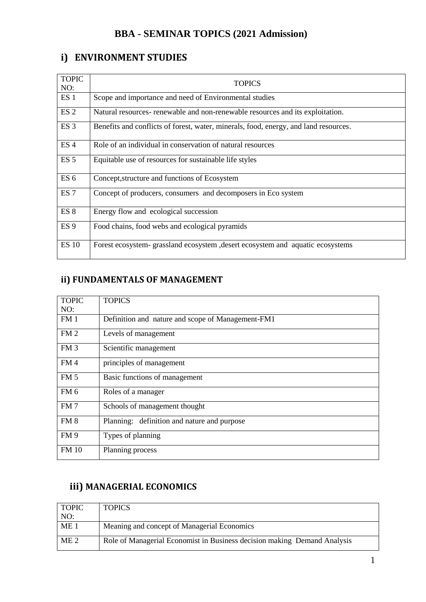#### **BBA - SEMINAR TOPICS (2021 Admission)**

#### **i) ENVIRONMENT STUDIES**

| <b>TOPIC</b><br>NO: | <b>TOPICS</b>                                                                        |
|---------------------|--------------------------------------------------------------------------------------|
| ES <sub>1</sub>     | Scope and importance and need of Environmental studies                               |
| ES <sub>2</sub>     | Natural resources- renewable and non-renewable resources and its exploitation.       |
| ES <sub>3</sub>     | Benefits and conflicts of forest, water, minerals, food, energy, and land resources. |
| ES <sub>4</sub>     | Role of an individual in conservation of natural resources                           |
| ES <sub>5</sub>     | Equitable use of resources for sustainable life styles                               |
| ES <sub>6</sub>     | Concept, structure and functions of Ecosystem                                        |
| ES <sub>7</sub>     | Concept of producers, consumers and decomposers in Eco system                        |
| ES <sub>8</sub>     | Energy flow and ecological succession                                                |
| ES <sub>9</sub>     | Food chains, food webs and ecological pyramids                                       |
| <b>ES 10</b>        | Forest ecosystem- grassland ecosystem, desert ecosystem and aquatic ecosystems       |

### **ii) FUNDAMENTALS OF MANAGEMENT**

| <b>TOPIC</b>    | <b>TOPICS</b>                                     |
|-----------------|---------------------------------------------------|
| NO:             |                                                   |
| FM <sub>1</sub> | Definition and nature and scope of Management-FM1 |
| FM <sub>2</sub> | Levels of management                              |
| FM <sub>3</sub> | Scientific management                             |
| FM4             | principles of management                          |
| FM <sub>5</sub> | Basic functions of management                     |
| FM <sub>6</sub> | Roles of a manager                                |
| FM <sub>7</sub> | Schools of management thought                     |
| FM <sub>8</sub> | Planning: definition and nature and purpose       |
| FM <sub>9</sub> | Types of planning                                 |
| <b>FM 10</b>    | Planning process                                  |

#### **iii) MANAGERIAL ECONOMICS**

| <b>TOPIC</b>    | <b>TOPICS</b>                                                            |
|-----------------|--------------------------------------------------------------------------|
| NO:             |                                                                          |
| ME <sub>1</sub> | Meaning and concept of Managerial Economics                              |
| ME <sub>2</sub> | Role of Managerial Economist in Business decision making Demand Analysis |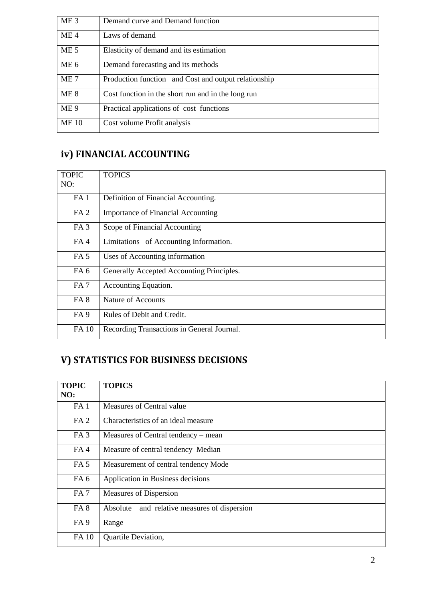| ME <sub>3</sub> | Demand curve and Demand function                     |
|-----------------|------------------------------------------------------|
| ME <sub>4</sub> | Laws of demand                                       |
| ME <sub>5</sub> | Elasticity of demand and its estimation              |
| ME <sub>6</sub> | Demand forecasting and its methods                   |
| ME <sub>7</sub> | Production function and Cost and output relationship |
| ME <sub>8</sub> | Cost function in the short run and in the long run   |
| ME <sub>9</sub> | Practical applications of cost functions             |
| <b>ME</b> 10    | Cost volume Profit analysis                          |

## **iv) FINANCIAL ACCOUNTING**

| <b>TOPIC</b><br>NO: | <b>TOPICS</b>                              |
|---------------------|--------------------------------------------|
| FA <sub>1</sub>     | Definition of Financial Accounting.        |
| FA <sub>2</sub>     | Importance of Financial Accounting         |
| FA <sub>3</sub>     | Scope of Financial Accounting              |
| FA <sub>4</sub>     | Limitations of Accounting Information.     |
| FA <sub>5</sub>     | Uses of Accounting information             |
| FA <sub>6</sub>     | Generally Accepted Accounting Principles.  |
| FA <sub>7</sub>     | Accounting Equation.                       |
| FA <sub>8</sub>     | Nature of Accounts                         |
| FA <sub>9</sub>     | Rules of Debit and Credit.                 |
| FA 10               | Recording Transactions in General Journal. |

# **V) STATISTICS FOR BUSINESS DECISIONS**

| <b>TOPIC</b>    | <b>TOPICS</b>                                   |
|-----------------|-------------------------------------------------|
| NO:             |                                                 |
| FA <sub>1</sub> | Measures of Central value                       |
| FA <sub>2</sub> | Characteristics of an ideal measure             |
| FA <sub>3</sub> | Measures of Central tendency – mean             |
| FA4             | Measure of central tendency Median              |
| FA <sub>5</sub> | Measurement of central tendency Mode            |
| FA <sub>6</sub> | Application in Business decisions               |
| FA <sub>7</sub> | Measures of Dispersion                          |
| FA <sub>8</sub> | and relative measures of dispersion<br>Absolute |
| FA <sub>9</sub> | Range                                           |
| FA 10           | <b>Quartile Deviation,</b>                      |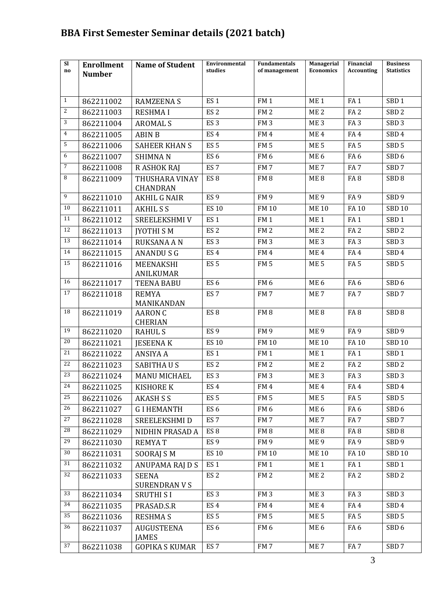## **BBA First Semester Seminar details (2021 batch)**

| SI<br>no        | <b>Enrollment</b> | <b>Name of Student</b>               | Environmental<br>studies | <b>Fundamentals</b><br>of management | Managerial<br><b>Economics</b> | Financial<br><b>Accounting</b> | <b>Business</b><br><b>Statistics</b> |
|-----------------|-------------------|--------------------------------------|--------------------------|--------------------------------------|--------------------------------|--------------------------------|--------------------------------------|
|                 | <b>Number</b>     |                                      |                          |                                      |                                |                                |                                      |
|                 |                   |                                      |                          |                                      |                                |                                |                                      |
| $\mathbf{1}$    | 862211002         | <b>RAMZEENA S</b>                    | ES <sub>1</sub>          | FM <sub>1</sub>                      | ME <sub>1</sub>                | FA <sub>1</sub>                | SBD <sub>1</sub>                     |
| $\overline{2}$  | 862211003         | <b>RESHMAI</b>                       | ES <sub>2</sub>          | FM <sub>2</sub>                      | ME <sub>2</sub>                | FA <sub>2</sub>                | SBD <sub>2</sub>                     |
| 3               | 862211004         | <b>AROMALS</b>                       | ES <sub>3</sub>          | FM <sub>3</sub>                      | ME <sub>3</sub>                | FA <sub>3</sub>                | SBD <sub>3</sub>                     |
| $\overline{4}$  | 862211005         | <b>ABIN B</b>                        | ES <sub>4</sub>          | FM4                                  | ME <sub>4</sub>                | FA4                            | SBD <sub>4</sub>                     |
| 5               | 862211006         | <b>SAHEER KHAN S</b>                 | ES <sub>5</sub>          | FM <sub>5</sub>                      | ME <sub>5</sub>                | FA <sub>5</sub>                | SBD <sub>5</sub>                     |
| 6               | 862211007         | <b>SHIMNAN</b>                       | ES <sub>6</sub>          | FM <sub>6</sub>                      | ME <sub>6</sub>                | FA <sub>6</sub>                | SBD <sub>6</sub>                     |
| $\overline{7}$  | 862211008         | R ASHOK RAJ                          | ES <sub>7</sub>          | FM <sub>7</sub>                      | ME <sub>7</sub>                | FA <sub>7</sub>                | SBD <sub>7</sub>                     |
| 8               | 862211009         | THUSHARA VINAY                       | ES <sub>8</sub>          | FM <sub>8</sub>                      | ME <sub>8</sub>                | FA <sub>8</sub>                | SBD <sub>8</sub>                     |
| 9               |                   | <b>CHANDRAN</b>                      |                          |                                      |                                |                                |                                      |
| 10              | 862211010         | <b>AKHIL G NAIR</b>                  | ES <sub>9</sub>          | FM <sub>9</sub>                      | ME <sub>9</sub>                | FA <sub>9</sub>                | SBD <sub>9</sub>                     |
|                 | 862211011         | <b>AKHILSS</b>                       | <b>ES 10</b>             | <b>FM 10</b>                         | <b>ME10</b>                    | <b>FA10</b>                    | <b>SBD 10</b>                        |
| 11              | 862211012         | SREELEKSHMI V                        | ES <sub>1</sub>          | FM <sub>1</sub>                      | ME <sub>1</sub>                | FA <sub>1</sub>                | SBD <sub>1</sub>                     |
| 12              | 862211013         | <b>IYOTHI SM</b>                     | ES <sub>2</sub>          | FM <sub>2</sub>                      | ME <sub>2</sub>                | FA <sub>2</sub>                | SBD <sub>2</sub>                     |
| 13              | 862211014         | RUKSANA A N                          | ES <sub>3</sub>          | FM <sub>3</sub>                      | ME <sub>3</sub>                | FA <sub>3</sub>                | SBD <sub>3</sub>                     |
| 14              | 862211015         | <b>ANANDUSG</b>                      | ES <sub>4</sub>          | FM4                                  | ME <sub>4</sub>                | FA4                            | SBD <sub>4</sub>                     |
| 15              | 862211016         | MEENAKSHI<br><b>ANILKUMAR</b>        | ES <sub>5</sub>          | FM <sub>5</sub>                      | ME <sub>5</sub>                | FA <sub>5</sub>                | SBD <sub>5</sub>                     |
| 16              | 862211017         | <b>TEENA BABU</b>                    | ES <sub>6</sub>          | FM <sub>6</sub>                      | ME <sub>6</sub>                | FA <sub>6</sub>                | SBD <sub>6</sub>                     |
| 17              | 862211018         | <b>REMYA</b>                         | ES <sub>7</sub>          | FM <sub>7</sub>                      | ME <sub>7</sub>                | FA <sub>7</sub>                | SBD <sub>7</sub>                     |
|                 |                   | MANIKANDAN                           |                          |                                      |                                |                                |                                      |
| 18              | 862211019         | <b>AARON C</b>                       | ES <sub>8</sub>          | FM <sub>8</sub>                      | ME <sub>8</sub>                | FA <sub>8</sub>                | SBD <sub>8</sub>                     |
| 19              |                   | <b>CHERIAN</b>                       |                          |                                      |                                |                                |                                      |
| 20              | 862211020         | <b>RAHULS</b>                        | ES <sub>9</sub>          | FM <sub>9</sub>                      | ME <sub>9</sub>                | FA <sub>9</sub>                | SBD 9                                |
| 21              | 862211021         | <b>JESEENA K</b>                     | <b>ES 10</b>             | <b>FM 10</b>                         | <b>ME10</b>                    | <b>FA10</b>                    | <b>SBD 10</b>                        |
| 22              | 862211022         | <b>ANSIYA A</b>                      | ES <sub>1</sub>          | FM <sub>1</sub>                      | ME <sub>1</sub>                | FA <sub>1</sub>                | SBD <sub>1</sub>                     |
| 23              | 862211023         | <b>SABITHAUS</b>                     | ES <sub>2</sub>          | FM <sub>2</sub>                      | ME <sub>2</sub>                | FA <sub>2</sub>                | SBD <sub>2</sub>                     |
| 24              | 862211024         | <b>MANU MICHAEL</b>                  | ES <sub>3</sub>          | FM <sub>3</sub>                      | ME <sub>3</sub>                | FA <sub>3</sub>                | SBD <sub>3</sub>                     |
| 25              | 862211025         | <b>KISHORE K</b>                     | ES <sub>4</sub>          | FM <sub>4</sub>                      | ME <sub>4</sub>                | FA4                            | SBD <sub>4</sub>                     |
| 26              | 862211026         | <b>AKASH S S</b>                     | ES <sub>5</sub>          | FM <sub>5</sub>                      | ME <sub>5</sub>                | FA <sub>5</sub>                | SBD <sub>5</sub>                     |
| 27              | 862211027         | <b>GIHEMANTH</b>                     | ES <sub>6</sub>          | FM <sub>6</sub>                      | ME <sub>6</sub>                | FA <sub>6</sub>                | SBD <sub>6</sub>                     |
| 28              | 862211028         | SREELEKSHMI D                        | ES <sub>7</sub>          | FM <sub>7</sub>                      | ME <sub>7</sub>                | FA <sub>7</sub>                | SBD <sub>7</sub>                     |
| 29              | 862211029         | NIDHIN PRASAD A                      | ES <sub>8</sub>          | FM8                                  | ME <sub>8</sub>                | FA 8                           | SBD <sub>8</sub>                     |
|                 | 862211030         | <b>REMYAT</b>                        | ES <sub>9</sub>          | FM 9                                 | ME 9                           | FA <sub>9</sub>                | SBD <sub>9</sub>                     |
| 30              | 862211031         | SOORAJ S M                           | <b>ES 10</b>             | <b>FM10</b>                          | <b>ME10</b>                    | <b>FA10</b>                    | <b>SBD 10</b>                        |
| 31              | 862211032         | ANUPAMA RAJ D S                      | ES <sub>1</sub>          | FM <sub>1</sub>                      | ME <sub>1</sub>                | FA <sub>1</sub>                | SBD <sub>1</sub>                     |
| $\overline{32}$ | 862211033         | <b>SEENA</b><br><b>SURENDRAN V S</b> | ES <sub>2</sub>          | FM <sub>2</sub>                      | ME <sub>2</sub>                | FA <sub>2</sub>                | SBD <sub>2</sub>                     |
| 33              | 862211034         | <b>SRUTHI SI</b>                     | ES <sub>3</sub>          | FM <sub>3</sub>                      | ME <sub>3</sub>                | FA <sub>3</sub>                | SBD <sub>3</sub>                     |
| 34              | 862211035         | PRASAD.S.R                           | ES <sub>4</sub>          | FM4                                  | ME <sub>4</sub>                | FA4                            | SBD <sub>4</sub>                     |
| 35              | 862211036         | <b>RESHMAS</b>                       | ES <sub>5</sub>          | FM <sub>5</sub>                      | ME <sub>5</sub>                | FA <sub>5</sub>                | SBD <sub>5</sub>                     |
| 36              | 862211037         | <b>AUGUSTEENA</b>                    | ES <sub>6</sub>          | FM <sub>6</sub>                      | ME 6                           | FA 6                           | SBD 6                                |
|                 |                   | <b>JAMES</b>                         |                          |                                      |                                |                                |                                      |
| 37              | 862211038         | <b>GOPIKA S KUMAR</b>                | ES <sub>7</sub>          | FM <sub>7</sub>                      | ME <sub>7</sub>                | FA <sub>7</sub>                | SBD 7                                |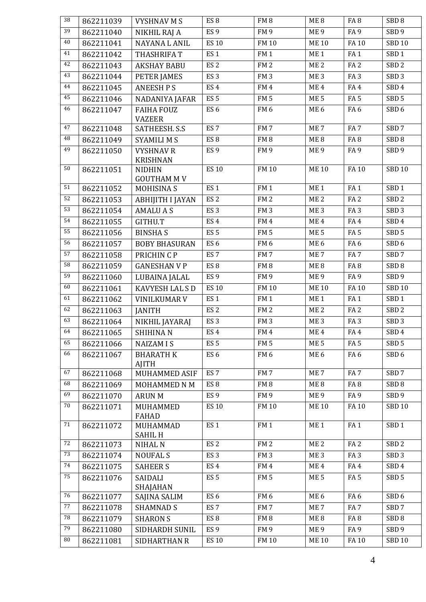| 38              | 862211039 | <b>VYSHNAV M S</b>                 | ES <sub>8</sub>                    | FM8             | ME <sub>8</sub> | FA <sub>8</sub> | SBD <sub>8</sub> |
|-----------------|-----------|------------------------------------|------------------------------------|-----------------|-----------------|-----------------|------------------|
| $\overline{39}$ | 862211040 | NIKHIL RAJ A                       | ES <sub>9</sub>                    | FM <sub>9</sub> | ME <sub>9</sub> | FA <sub>9</sub> | SBD <sub>9</sub> |
| 40              | 862211041 | <b>NAYANA L ANIL</b>               | <b>ES 10</b>                       | <b>FM 10</b>    | <b>ME10</b>     | <b>FA10</b>     | <b>SBD 10</b>    |
| 41              | 862211042 | <b>THASHRIFA T</b>                 | ES <sub>1</sub>                    | FM1             | ME <sub>1</sub> | FA <sub>1</sub> | SBD <sub>1</sub> |
| 42              | 862211043 | <b>AKSHAY BABU</b>                 | ES <sub>2</sub>                    | FM <sub>2</sub> | ME <sub>2</sub> | FA <sub>2</sub> | SBD <sub>2</sub> |
| 43              | 862211044 | PETER JAMES                        | ES <sub>3</sub>                    | FM <sub>3</sub> | ME <sub>3</sub> | FA <sub>3</sub> | SBD <sub>3</sub> |
| 44              | 862211045 | <b>ANEESH PS</b>                   | ES <sub>4</sub>                    | FM <sub>4</sub> | ME <sub>4</sub> | FA4             | SBD <sub>4</sub> |
| 45              | 862211046 | NADANIYA JAFAR                     | ES <sub>5</sub>                    | FM <sub>5</sub> | ME <sub>5</sub> | FA <sub>5</sub> | SBD <sub>5</sub> |
| 46              | 862211047 | <b>FAIHA FOUZ</b><br><b>VAZEER</b> | ES <sub>6</sub>                    | FM <sub>6</sub> | ME <sub>6</sub> | FA6             | SBD <sub>6</sub> |
| 47              | 862211048 | SATHEESH. S.S                      | ES <sub>7</sub>                    | FM7             | ME <sub>7</sub> | FA <sub>7</sub> | SBD <sub>7</sub> |
| 48              | 862211049 | <b>SYAMILI MS</b>                  | ES <sub>8</sub>                    | FM8             | ME <sub>8</sub> | FA <sub>8</sub> | SBD <sub>8</sub> |
| 49              | 862211050 | <b>VYSHNAV R</b>                   | ES <sub>9</sub>                    | FM <sub>9</sub> | ME <sub>9</sub> | FA <sub>9</sub> | SBD <sub>9</sub> |
|                 |           | <b>KRISHNAN</b>                    |                                    |                 |                 |                 |                  |
| 50              | 862211051 | <b>NIDHIN</b>                      | <b>ES 10</b>                       | <b>FM 10</b>    | <b>ME10</b>     | FA 10           | <b>SBD 10</b>    |
| 51              |           | <b>GOUTHAM M V</b>                 |                                    |                 |                 |                 |                  |
| 52              | 862211052 | <b>MOHISINAS</b>                   | ES <sub>1</sub>                    | FM <sub>1</sub> | ME <sub>1</sub> | FA <sub>1</sub> | SBD <sub>1</sub> |
| 53              | 862211053 | <b>ABHIJITH I JAYAN</b>            | ES <sub>2</sub><br>ES <sub>3</sub> | FM <sub>2</sub> | ME <sub>2</sub> | FA <sub>2</sub> | SBD <sub>2</sub> |
| 54              | 862211054 | <b>AMALUAS</b>                     |                                    | FM <sub>3</sub> | ME <sub>3</sub> | FA <sub>3</sub> | SBD <sub>3</sub> |
| $\overline{55}$ | 862211055 | GITHU.T                            | ES <sub>4</sub>                    | FM <sub>4</sub> | ME <sub>4</sub> | FA4             | SBD <sub>4</sub> |
| 56              | 862211056 | <b>BINSHAS</b>                     | ES <sub>5</sub><br>ES <sub>6</sub> | FM <sub>5</sub> | ME <sub>5</sub> | FA <sub>5</sub> | SBD <sub>5</sub> |
| $\overline{57}$ | 862211057 | <b>BOBY BHASURAN</b>               |                                    | FM <sub>6</sub> | ME <sub>6</sub> | FA <sub>6</sub> | SBD <sub>6</sub> |
| 58              | 862211058 | PRICHIN C P                        | ES <sub>7</sub>                    | FM7             | ME <sub>7</sub> | FA <sub>7</sub> | SBD <sub>7</sub> |
| 59              | 862211059 | <b>GANESHAN V P</b>                | ES <sub>8</sub><br>ES <sub>9</sub> | FM8             | ME <sub>8</sub> | FA8             | SBD <sub>8</sub> |
| 60              | 862211060 | LUBAINA JALAL                      |                                    | FM <sub>9</sub> | ME <sub>9</sub> | FA <sub>9</sub> | SBD <sub>9</sub> |
| 61              | 862211061 | KAVYESH LAL S D                    | <b>ES 10</b>                       | <b>FM 10</b>    | <b>ME10</b>     | FA 10           | <b>SBD 10</b>    |
| 62              | 862211062 | <b>VINILKUMAR V</b>                | ES <sub>1</sub>                    | FM <sub>1</sub> | ME <sub>1</sub> | FA <sub>1</sub> | SBD <sub>1</sub> |
| 63              | 862211063 | <b>JANITH</b>                      | ES <sub>2</sub>                    | FM <sub>2</sub> | ME <sub>2</sub> | FA <sub>2</sub> | SBD <sub>2</sub> |
| 64              | 862211064 | NIKHIL JAYARAJ                     | ES <sub>3</sub>                    | FM <sub>3</sub> | ME <sub>3</sub> | FA <sub>3</sub> | SBD <sub>3</sub> |
| 65              | 862211065 | <b>SHIHINAN</b>                    | ES <sub>4</sub>                    | FM4             | ME <sub>4</sub> | FA4             | SBD 4            |
| 66              | 862211066 | <b>NAIZAM IS</b>                   | ES <sub>5</sub>                    | FM <sub>5</sub> | ME <sub>5</sub> | FA <sub>5</sub> | SBD <sub>5</sub> |
|                 | 862211067 | <b>BHARATH K</b><br><b>AJITH</b>   | ES <sub>6</sub>                    | FM <sub>6</sub> | ME <sub>6</sub> | FA <sub>6</sub> | SBD <sub>6</sub> |
| 67              | 862211068 | <b>MUHAMMED ASIF</b>               | ES <sub>7</sub>                    | FM <sub>7</sub> | ME <sub>7</sub> | FA <sub>7</sub> | SBD <sub>7</sub> |
| 68              | 862211069 | MOHAMMED N M                       | ES <sub>8</sub>                    | FM8             | ME <sub>8</sub> | FA <sub>8</sub> | SBD <sub>8</sub> |
| 69              | 862211070 | <b>ARUN M</b>                      | ES <sub>9</sub>                    | FM 9            | ME <sub>9</sub> | FA <sub>9</sub> | SBD <sub>9</sub> |
| $70\,$          | 862211071 | <b>MUHAMMED</b><br><b>FAHAD</b>    | <b>ES 10</b>                       | <b>FM 10</b>    | <b>ME10</b>     | FA 10           | <b>SBD 10</b>    |
| $71\,$          | 862211072 | MUHAMMAD<br><b>SAHIL H</b>         | ES <sub>1</sub>                    | FM1             | ME <sub>1</sub> | FA <sub>1</sub> | SBD <sub>1</sub> |
| $\overline{72}$ | 862211073 | <b>NIHAL N</b>                     | ES <sub>2</sub>                    | FM <sub>2</sub> | ME <sub>2</sub> | FA <sub>2</sub> | SBD <sub>2</sub> |
| 73              | 862211074 | <b>NOUFAL S</b>                    | ES <sub>3</sub>                    | FM <sub>3</sub> | ME <sub>3</sub> | FA <sub>3</sub> | SBD <sub>3</sub> |
| 74              | 862211075 | <b>SAHEER S</b>                    | ES <sub>4</sub>                    | FM4             | ME <sub>4</sub> | FA4             | SBD <sub>4</sub> |
| 75              | 862211076 | SAIDALI                            | ES <sub>5</sub>                    | FM <sub>5</sub> | ME <sub>5</sub> | FA <sub>5</sub> | SBD <sub>5</sub> |
|                 |           | SHAJAHAN                           |                                    |                 |                 |                 |                  |
| 76              | 862211077 | SAJINA SALIM                       | ES <sub>6</sub>                    | FM <sub>6</sub> | ME <sub>6</sub> | FA <sub>6</sub> | SBD <sub>6</sub> |
| 77              | 862211078 | <b>SHAMNAD S</b>                   | ES <sub>7</sub>                    | FM7             | ME <sub>7</sub> | FA <sub>7</sub> | SBD <sub>7</sub> |
| 78              | 862211079 | <b>SHARON S</b>                    | ES <sub>8</sub>                    | FM <sub>8</sub> | ME 8            | FA 8            | SBD <sub>8</sub> |
| 79              | 862211080 | SIDHARDH SUNIL                     | ES <sub>9</sub>                    | FM <sub>9</sub> | ME <sub>9</sub> | FA <sub>9</sub> | SBD <sub>9</sub> |
| $80\,$          | 862211081 | SIDHARTHAN R                       | <b>ES 10</b>                       | <b>FM 10</b>    | <b>ME10</b>     | FA 10           | <b>SBD 10</b>    |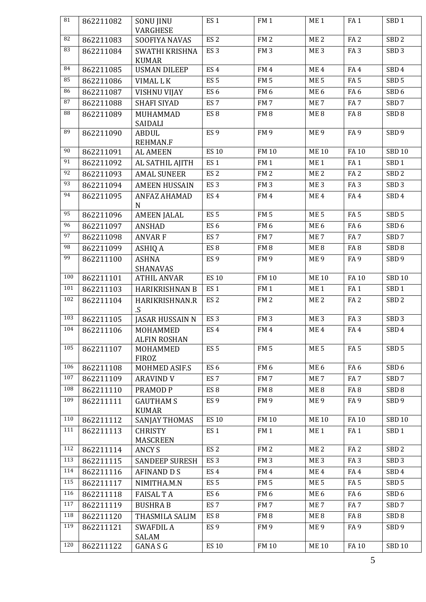| $\overline{81}$ | 862211082 | <b>SONU JINU</b>                  | ES <sub>1</sub> | FM <sub>1</sub> | ME <sub>1</sub> | FA <sub>1</sub> | SBD <sub>1</sub> |
|-----------------|-----------|-----------------------------------|-----------------|-----------------|-----------------|-----------------|------------------|
| 82              | 862211083 | VARGHESE<br>SOOFIYA NAVAS         | ES <sub>2</sub> | FM <sub>2</sub> | ME <sub>2</sub> | FA <sub>2</sub> | SBD <sub>2</sub> |
| 83              |           |                                   |                 |                 |                 |                 |                  |
|                 | 862211084 | SWATHI KRISHNA<br><b>KUMAR</b>    | ES <sub>3</sub> | FM <sub>3</sub> | ME <sub>3</sub> | FA <sub>3</sub> | SBD <sub>3</sub> |
| 84              | 862211085 | <b>USMAN DILEEP</b>               | ES <sub>4</sub> | FM <sub>4</sub> | ME <sub>4</sub> | FA4             | SBD <sub>4</sub> |
| 85              | 862211086 | VIMAL L K                         | ES <sub>5</sub> | FM <sub>5</sub> | ME <sub>5</sub> | FA <sub>5</sub> | SBD <sub>5</sub> |
| 86              | 862211087 | <b>VISHNU VIJAY</b>               | ES <sub>6</sub> | FM <sub>6</sub> | ME <sub>6</sub> | FA <sub>6</sub> | SBD <sub>6</sub> |
| 87              | 862211088 | <b>SHAFI SIYAD</b>                | ES <sub>7</sub> | FM7             | ME <sub>7</sub> | FA <sub>7</sub> | SBD <sub>7</sub> |
| 88              | 862211089 | <b>MUHAMMAD</b><br>SAIDALI        | ES <sub>8</sub> | FM8             | ME <sub>8</sub> | FA <sub>8</sub> | SBD <sub>8</sub> |
| 89              | 862211090 | <b>ABDUL</b><br><b>REHMAN.F</b>   | ES <sub>9</sub> | <b>FM9</b>      | ME <sub>9</sub> | FA <sub>9</sub> | SBD <sub>9</sub> |
| 90              | 862211091 | <b>AL AMEEN</b>                   | <b>ES 10</b>    | <b>FM 10</b>    | <b>ME10</b>     | FA 10           | <b>SBD 10</b>    |
| 91              | 862211092 | AL SATHIL AJITH                   | ES <sub>1</sub> | FM1             | ME <sub>1</sub> | FA <sub>1</sub> | SBD <sub>1</sub> |
| 92              | 862211093 | <b>AMAL SUNEER</b>                | ES <sub>2</sub> | FM <sub>2</sub> | ME <sub>2</sub> | FA <sub>2</sub> | SBD <sub>2</sub> |
| 93              | 862211094 | <b>AMEEN HUSSAIN</b>              | ES <sub>3</sub> | FM <sub>3</sub> | ME <sub>3</sub> | FA <sub>3</sub> | SBD <sub>3</sub> |
| 94              | 862211095 | <b>ANFAZ AHAMAD</b>               | ES <sub>4</sub> | FM4             | ME <sub>4</sub> | FA4             | SBD <sub>4</sub> |
|                 |           | $\mathbf N$                       |                 |                 |                 |                 |                  |
| 95              | 862211096 | <b>AMEEN JALAL</b>                | ES <sub>5</sub> | FM <sub>5</sub> | ME <sub>5</sub> | FA <sub>5</sub> | SBD <sub>5</sub> |
| 96              | 862211097 | <b>ANSHAD</b>                     | ES <sub>6</sub> | FM <sub>6</sub> | ME <sub>6</sub> | FA <sub>6</sub> | SBD <sub>6</sub> |
| 97              | 862211098 | <b>ANVAR F</b>                    | ES <sub>7</sub> | FM7             | ME <sub>7</sub> | FA <sub>7</sub> | SBD <sub>7</sub> |
| 98              | 862211099 | <b>ASHIQ A</b>                    | ES <sub>8</sub> | FM8             | ME <sub>8</sub> | FA <sub>8</sub> | SBD <sub>8</sub> |
| 99              | 862211100 | <b>ASHNA</b><br>SHANAVAS          | ES <sub>9</sub> | <b>FM9</b>      | ME <sub>9</sub> | FA <sub>9</sub> | SBD <sub>9</sub> |
| 100             | 862211101 | <b>ATHIL ANVAR</b>                | <b>ES 10</b>    | <b>FM 10</b>    | <b>ME10</b>     | FA 10           | <b>SBD 10</b>    |
| 101             | 862211103 | <b>HARIKRISHNAN B</b>             | ES <sub>1</sub> | FM <sub>1</sub> | ME <sub>1</sub> | FA <sub>1</sub> | SBD <sub>1</sub> |
| 102             | 862211104 | HARIKRISHNAN.R<br>$\cdot S$       | ES <sub>2</sub> | FM <sub>2</sub> | ME <sub>2</sub> | FA <sub>2</sub> | SBD <sub>2</sub> |
| 103             | 862211105 | <b>JASAR HUSSAIN N</b>            | ES <sub>3</sub> | FM <sub>3</sub> | ME <sub>3</sub> | FA <sub>3</sub> | SBD <sub>3</sub> |
| 104             | 862211106 | MOHAMMED                          | ES <sub>4</sub> | FM4             | ME <sub>4</sub> | FA4             | SBD 4            |
|                 |           | <b>ALFIN ROSHAN</b>               |                 |                 |                 |                 |                  |
| 105             | 862211107 | MOHAMMED<br><b>FIROZ</b>          | ES <sub>5</sub> | FM <sub>5</sub> | ME <sub>5</sub> | FA <sub>5</sub> | SBD <sub>5</sub> |
| 106             | 862211108 | MOHMED ASIF.S                     | ES <sub>6</sub> | FM <sub>6</sub> | ME <sub>6</sub> | FA <sub>6</sub> | SBD <sub>6</sub> |
| 107             | 862211109 | <b>ARAVIND V</b>                  | ES <sub>7</sub> | FM <sub>7</sub> | ME <sub>7</sub> | FA <sub>7</sub> | SBD <sub>7</sub> |
| 108             | 862211110 | PRAMOD <sub>P</sub>               | ES <sub>8</sub> | FM <sub>8</sub> | ME <sub>8</sub> | FA <sub>8</sub> | SBD <sub>8</sub> |
| 109             | 862211111 | <b>GAUTHAM S</b><br><b>KUMAR</b>  | ES <sub>9</sub> | FM <sub>9</sub> | ME 9            | FA <sub>9</sub> | SBD <sub>9</sub> |
| 110             | 862211112 | <b>SANJAY THOMAS</b>              | <b>ES 10</b>    | <b>FM 10</b>    | <b>ME10</b>     | FA 10           | <b>SBD 10</b>    |
| 111             | 862211113 | <b>CHRISTY</b><br><b>MASCREEN</b> | ES <sub>1</sub> | FM <sub>1</sub> | ME <sub>1</sub> | FA <sub>1</sub> | SBD <sub>1</sub> |
| 112             | 862211114 | ANCY S                            | ES <sub>2</sub> | FM <sub>2</sub> | ME <sub>2</sub> | FA <sub>2</sub> | SBD <sub>2</sub> |
| 113             | 862211115 | <b>SANDEEP SURESH</b>             | ES <sub>3</sub> | FM <sub>3</sub> | ME <sub>3</sub> | FA <sub>3</sub> | SBD <sub>3</sub> |
| 114             | 862211116 | <b>AFINAND D S</b>                | ES <sub>4</sub> | FM <sub>4</sub> | ME <sub>4</sub> | FA4             | SBD <sub>4</sub> |
| 115             | 862211117 | NIMITHA.M.N                       | ES <sub>5</sub> | FM <sub>5</sub> | ME <sub>5</sub> | FA <sub>5</sub> | SBD <sub>5</sub> |
| 116             | 862211118 | <b>FAISAL T A</b>                 | ES <sub>6</sub> | FM <sub>6</sub> | ME <sub>6</sub> | FA <sub>6</sub> | SBD <sub>6</sub> |
| 117             | 862211119 | <b>BUSHRA B</b>                   | ES <sub>7</sub> | FM <sub>7</sub> | ME <sub>7</sub> | FA <sub>7</sub> | SBD <sub>7</sub> |
| 118             | 862211120 | THASMILA SALIM                    | ES <sub>8</sub> | FM <sub>8</sub> | ME <sub>8</sub> | FA <sub>8</sub> | SBD <sub>8</sub> |
| 119             | 862211121 | <b>SWAFDIL A</b><br>SALAM         | ES <sub>9</sub> | FM <sub>9</sub> | ME <sub>9</sub> | FA <sub>9</sub> | SBD <sub>9</sub> |
| 120             | 862211122 | GANA S G                          | <b>ES 10</b>    | <b>FM 10</b>    | <b>ME10</b>     | <b>FA10</b>     | <b>SBD 10</b>    |
|                 |           |                                   |                 |                 |                 | 5               |                  |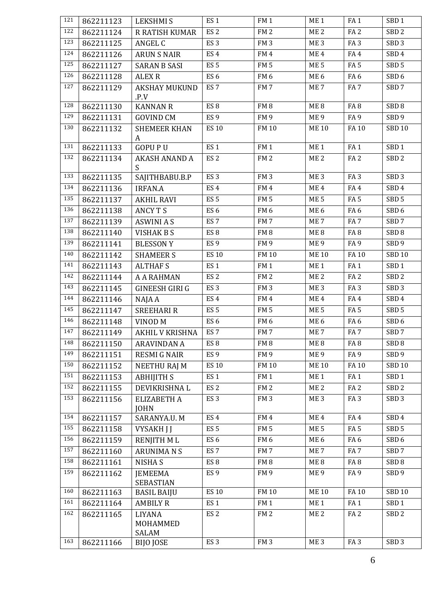| 121        | 862211123 | <b>LEKSHMIS</b>                    | ES <sub>1</sub> | FM <sub>1</sub> | ME <sub>1</sub> | FA <sub>1</sub> | SBD <sub>1</sub> |
|------------|-----------|------------------------------------|-----------------|-----------------|-----------------|-----------------|------------------|
| 122        | 862211124 | R RATISH KUMAR                     | ES <sub>2</sub> | FM <sub>2</sub> | ME <sub>2</sub> | FA <sub>2</sub> | SBD <sub>2</sub> |
| 123        | 862211125 | ANGEL C                            | ES <sub>3</sub> | FM <sub>3</sub> | ME <sub>3</sub> | FA <sub>3</sub> | SBD <sub>3</sub> |
| 124        | 862211126 | <b>ARUN S NAIR</b>                 | ES <sub>4</sub> | FM4             | ME <sub>4</sub> | FA4             | SBD <sub>4</sub> |
| 125        | 862211127 | <b>SARAN B SASI</b>                | ES <sub>5</sub> | FM <sub>5</sub> | ME <sub>5</sub> | FA <sub>5</sub> | SBD <sub>5</sub> |
| 126        | 862211128 | <b>ALEX R</b>                      | ES <sub>6</sub> | FM <sub>6</sub> | ME <sub>6</sub> | FA <sub>6</sub> | SBD <sub>6</sub> |
| 127        | 862211129 | <b>AKSHAY MUKUND</b>               | ES <sub>7</sub> | FM7             | ME <sub>7</sub> | FA <sub>7</sub> | SBD <sub>7</sub> |
|            |           | .P.V                               |                 |                 |                 |                 |                  |
| 128        | 862211130 | <b>KANNAN R</b>                    | ES <sub>8</sub> | FM <sub>8</sub> | ME <sub>8</sub> | FA <sub>8</sub> | SBD <sub>8</sub> |
| 129        | 862211131 | <b>GOVIND CM</b>                   | ES <sub>9</sub> | FM 9            | ME 9            | FA <sub>9</sub> | SBD 9            |
| 130        | 862211132 | <b>SHEMEER KHAN</b>                | <b>ES 10</b>    | FM 10           | <b>ME10</b>     | FA 10           | <b>SBD 10</b>    |
| 131        | 862211133 | A<br><b>GOPUPU</b>                 | ES <sub>1</sub> | FM <sub>1</sub> | ME <sub>1</sub> | FA <sub>1</sub> | SBD <sub>1</sub> |
| 132        | 862211134 | <b>AKASH ANAND A</b>               | ES <sub>2</sub> | FM <sub>2</sub> | ME <sub>2</sub> | FA <sub>2</sub> | SBD <sub>2</sub> |
|            |           | S                                  |                 |                 |                 |                 |                  |
| 133        | 862211135 | SAJITHBABU.B.P                     | ES <sub>3</sub> | FM <sub>3</sub> | ME <sub>3</sub> | FA <sub>3</sub> | SBD <sub>3</sub> |
| 134        | 862211136 | <b>IRFAN.A</b>                     | ES <sub>4</sub> | FM4             | ME <sub>4</sub> | FA4             | SBD <sub>4</sub> |
| 135        | 862211137 | <b>AKHIL RAVI</b>                  | ES <sub>5</sub> | FM <sub>5</sub> | ME <sub>5</sub> | FA <sub>5</sub> | SBD <sub>5</sub> |
| 136        | 862211138 | <b>ANCY T S</b>                    | ES <sub>6</sub> | FM <sub>6</sub> | ME <sub>6</sub> | FA <sub>6</sub> | SBD <sub>6</sub> |
| 137        | 862211139 | <b>ASWINI A S</b>                  | ES <sub>7</sub> | FM <sub>7</sub> | ME <sub>7</sub> | FA <sub>7</sub> | SBD <sub>7</sub> |
| 138        | 862211140 | <b>VISHAK B S</b>                  | ES <sub>8</sub> | FM <sub>8</sub> | ME8             | FA <sub>8</sub> | SBD <sub>8</sub> |
| 139        | 862211141 | <b>BLESSON Y</b>                   | ES <sub>9</sub> | FM <sub>9</sub> | ME 9            | FA <sub>9</sub> | SBD <sub>9</sub> |
| 140        | 862211142 | <b>SHAMEER S</b>                   | <b>ES 10</b>    | <b>FM 10</b>    | <b>ME10</b>     | FA 10           | <b>SBD 10</b>    |
| 141        | 862211143 | <b>ALTHAFS</b>                     | ES <sub>1</sub> | FM <sub>1</sub> | ME <sub>1</sub> | FA <sub>1</sub> | SBD <sub>1</sub> |
| 142        | 862211144 | <b>A A RAHMAN</b>                  | ES <sub>2</sub> | FM <sub>2</sub> | ME <sub>2</sub> | FA <sub>2</sub> | SBD <sub>2</sub> |
| 143        | 862211145 | GINEESH GIRI G                     | ES <sub>3</sub> | FM <sub>3</sub> | ME <sub>3</sub> | FA <sub>3</sub> | SBD <sub>3</sub> |
| 144        | 862211146 | NAJA A                             | ES <sub>4</sub> | FM4             | ME <sub>4</sub> | FA4             | SBD <sub>4</sub> |
| 145        | 862211147 | <b>SREEHARI R</b>                  | ES <sub>5</sub> | FM <sub>5</sub> | ME <sub>5</sub> | FA <sub>5</sub> | SBD <sub>5</sub> |
| 146        | 862211148 | VINOD <sub>M</sub>                 | ES <sub>6</sub> | FM <sub>6</sub> | ME <sub>6</sub> | FA <sub>6</sub> | SBD <sub>6</sub> |
| 147        | 862211149 | <b>AKHIL V KRISHNA</b>             | ES <sub>7</sub> | FM <sub>7</sub> | ME <sub>7</sub> | FA <sub>7</sub> | SBD <sub>7</sub> |
| 148        | 862211150 | ARAVINDAN A                        | ES <sub>8</sub> | FM 8            | ME <sub>8</sub> | FA <sub>8</sub> | SBD <sub>8</sub> |
| 149        | 862211151 | <b>RESMI G NAIR</b>                | ES <sub>9</sub> | FM 9            | ME 9            | FA <sub>9</sub> | SBD 9            |
| 150        | 862211152 | NEETHU RAJ M                       | <b>ES 10</b>    | <b>FM 10</b>    | <b>ME10</b>     | <b>FA10</b>     | <b>SBD 10</b>    |
| 151        | 862211153 | <b>ABHIJITH S</b>                  | ES <sub>1</sub> | FM <sub>1</sub> | ME <sub>1</sub> | FA <sub>1</sub> | SBD <sub>1</sub> |
| 152        | 862211155 | DEVIKRISHNA L                      | ES <sub>2</sub> | FM <sub>2</sub> | ME <sub>2</sub> | FA <sub>2</sub> | SBD <sub>2</sub> |
| 153        | 862211156 | <b>ELIZABETH A</b>                 | ES <sub>3</sub> | FM <sub>3</sub> | ME <sub>3</sub> | FA <sub>3</sub> | SBD <sub>3</sub> |
| 154        |           | <b>JOHN</b>                        |                 |                 |                 |                 |                  |
| 155        | 862211157 | SARANYA.U. M                       | ES <sub>4</sub> | FM4             | ME <sub>4</sub> | FA4             | SBD <sub>4</sub> |
|            | 862211158 | VYSAKH J J                         | ES <sub>5</sub> | FM <sub>5</sub> | ME <sub>5</sub> | FA <sub>5</sub> | SBD <sub>5</sub> |
| 156<br>157 | 862211159 | <b>RENJITH ML</b>                  | ES <sub>6</sub> | FM <sub>6</sub> | ME <sub>6</sub> | FA <sub>6</sub> | SBD <sub>6</sub> |
|            | 862211160 | <b>ARUNIMANS</b>                   | ES <sub>7</sub> | FM7             | ME <sub>7</sub> | FA <sub>7</sub> | SBD <sub>7</sub> |
| 158        | 862211161 | <b>NISHAS</b>                      | ES <sub>8</sub> | FM <sub>8</sub> | ME <sub>8</sub> | FA <sub>8</sub> | SBD <sub>8</sub> |
| 159        | 862211162 | <b>JEMEEMA</b><br><b>SEBASTIAN</b> | ES <sub>9</sub> | FM <sub>9</sub> | ME <sub>9</sub> | FA <sub>9</sub> | SBD <sub>9</sub> |
| 160        | 862211163 | BASIL BAIJU                        | <b>ES 10</b>    | <b>FM 10</b>    | <b>ME10</b>     | FA 10           | <b>SBD 10</b>    |
| 161        | 862211164 | <b>AMBILY R</b>                    | ES <sub>1</sub> | FM <sub>1</sub> | ME <sub>1</sub> | FA <sub>1</sub> | SBD <sub>1</sub> |
| 162        | 862211165 | <b>LIYANA</b><br>MOHAMMED<br>SALAM | ES <sub>2</sub> | FM <sub>2</sub> | ME <sub>2</sub> | FA <sub>2</sub> | SBD <sub>2</sub> |
| 163        | 862211166 | BIJO JOSE                          | ES <sub>3</sub> | FM <sub>3</sub> | ME <sub>3</sub> | FA <sub>3</sub> | SBD <sub>3</sub> |